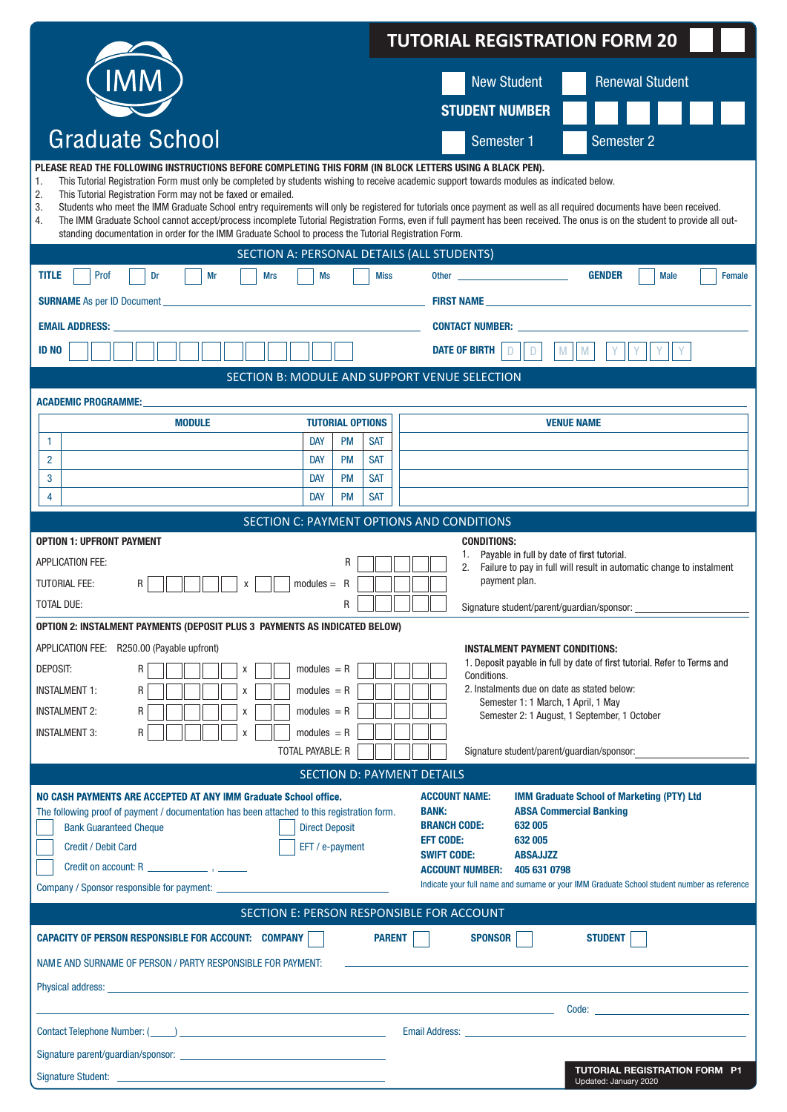|                                                                                                                                                                                                                                                                                                                                                                                                                                                          | <b>TUTORIAL REGISTRATION FORM 20</b>                                                                                                                                                                                                                                                                                                                                           |  |  |  |
|----------------------------------------------------------------------------------------------------------------------------------------------------------------------------------------------------------------------------------------------------------------------------------------------------------------------------------------------------------------------------------------------------------------------------------------------------------|--------------------------------------------------------------------------------------------------------------------------------------------------------------------------------------------------------------------------------------------------------------------------------------------------------------------------------------------------------------------------------|--|--|--|
| IMM                                                                                                                                                                                                                                                                                                                                                                                                                                                      | <b>New Student</b><br><b>Renewal Student</b>                                                                                                                                                                                                                                                                                                                                   |  |  |  |
|                                                                                                                                                                                                                                                                                                                                                                                                                                                          | <b>STUDENT NUMBER</b>                                                                                                                                                                                                                                                                                                                                                          |  |  |  |
| <b>Graduate School</b>                                                                                                                                                                                                                                                                                                                                                                                                                                   |                                                                                                                                                                                                                                                                                                                                                                                |  |  |  |
|                                                                                                                                                                                                                                                                                                                                                                                                                                                          | Semester 2<br>Semester 1                                                                                                                                                                                                                                                                                                                                                       |  |  |  |
| PLEASE READ THE FOLLOWING INSTRUCTIONS BEFORE COMPLETING THIS FORM (IN BLOCK LETTERS USING A BLACK PEN).<br>This Tutorial Registration Form must only be completed by students wishing to receive academic support towards modules as indicated below.<br>1.<br>2.<br>This Tutorial Registration Form may not be faxed or emailed.<br>3.<br>4.<br>standing documentation in order for the IMM Graduate School to process the Tutorial Registration Form. | Students who meet the IMM Graduate School entry requirements will only be registered for tutorials once payment as well as all required documents have been received.<br>The IMM Graduate School cannot accept/process incomplete Tutorial Registration Forms, even if full payment has been received. The onus is on the student to provide all out-                          |  |  |  |
| SECTION A: PERSONAL DETAILS (ALL STUDENTS)                                                                                                                                                                                                                                                                                                                                                                                                               |                                                                                                                                                                                                                                                                                                                                                                                |  |  |  |
| <b>TITLE</b><br>Prof<br>Dr<br>Mr<br><b>Mrs</b><br>Ms                                                                                                                                                                                                                                                                                                                                                                                                     | <b>GENDER</b><br><b>Miss</b><br><b>Male</b><br>Female                                                                                                                                                                                                                                                                                                                          |  |  |  |
| <b>SURNAME</b> As per ID Document                                                                                                                                                                                                                                                                                                                                                                                                                        |                                                                                                                                                                                                                                                                                                                                                                                |  |  |  |
| <b>EMAIL ADDRESS:</b>                                                                                                                                                                                                                                                                                                                                                                                                                                    | <b>CONTACT NUMBER:</b>                                                                                                                                                                                                                                                                                                                                                         |  |  |  |
| <b>ID NO</b>                                                                                                                                                                                                                                                                                                                                                                                                                                             | <b>DATE OF BIRTH</b><br>M                                                                                                                                                                                                                                                                                                                                                      |  |  |  |
|                                                                                                                                                                                                                                                                                                                                                                                                                                                          | SECTION B: MODULE AND SUPPORT VENUE SELECTION                                                                                                                                                                                                                                                                                                                                  |  |  |  |
| <b>ACADEMIC PROGRAMME:</b><br><b>TUTORIAL OPTIONS</b><br><b>MODULE</b>                                                                                                                                                                                                                                                                                                                                                                                   | <b>VENUE NAME</b>                                                                                                                                                                                                                                                                                                                                                              |  |  |  |
| <b>PM</b><br><b>DAY</b><br>1                                                                                                                                                                                                                                                                                                                                                                                                                             | <b>SAT</b>                                                                                                                                                                                                                                                                                                                                                                     |  |  |  |
| <b>PM</b><br>2<br><b>DAY</b>                                                                                                                                                                                                                                                                                                                                                                                                                             | <b>SAT</b>                                                                                                                                                                                                                                                                                                                                                                     |  |  |  |
| <b>DAY</b><br><b>PM</b><br>3<br>4<br><b>DAY</b><br><b>PM</b>                                                                                                                                                                                                                                                                                                                                                                                             | <b>SAT</b><br><b>SAT</b>                                                                                                                                                                                                                                                                                                                                                       |  |  |  |
|                                                                                                                                                                                                                                                                                                                                                                                                                                                          | SECTION C: PAYMENT OPTIONS AND CONDITIONS                                                                                                                                                                                                                                                                                                                                      |  |  |  |
| <b>OPTION 1: UPFRONT PAYMENT</b>                                                                                                                                                                                                                                                                                                                                                                                                                         | <b>CONDITIONS:</b>                                                                                                                                                                                                                                                                                                                                                             |  |  |  |
| <b>APPLICATION FEE:</b>                                                                                                                                                                                                                                                                                                                                                                                                                                  | Payable in full by date of first tutorial.<br>2.<br>Failure to pay in full will result in automatic change to instalment                                                                                                                                                                                                                                                       |  |  |  |
| <b>TUTORIAL FEE:</b><br>$modules = R$<br>R<br>х                                                                                                                                                                                                                                                                                                                                                                                                          | payment plan.                                                                                                                                                                                                                                                                                                                                                                  |  |  |  |
| <b>TOTAL DUE:</b><br>R                                                                                                                                                                                                                                                                                                                                                                                                                                   | Signature student/parent/guardian/sponsor:<br>لنساب السالسا                                                                                                                                                                                                                                                                                                                    |  |  |  |
| <b>OPTION 2: INSTALMENT PAYMENTS (DEPOSIT PLUS 3 PAYMENTS AS INDICATED BELOW)</b>                                                                                                                                                                                                                                                                                                                                                                        |                                                                                                                                                                                                                                                                                                                                                                                |  |  |  |
| APPLICATION FEE: R250.00 (Payable upfront)                                                                                                                                                                                                                                                                                                                                                                                                               | <b>INSTALMENT PAYMENT CONDITIONS:</b><br>1. Deposit payable in full by date of first tutorial. Refer to Terms and                                                                                                                                                                                                                                                              |  |  |  |
| DEPOSIT:<br>$modules = R$<br>R<br>X                                                                                                                                                                                                                                                                                                                                                                                                                      | Conditions.                                                                                                                                                                                                                                                                                                                                                                    |  |  |  |
| <b>INSTALMENT 1:</b><br>$modules = R$<br>R<br>X<br>R<br>$modules = R$                                                                                                                                                                                                                                                                                                                                                                                    | 2. Instalments due on date as stated below:<br>Semester 1: 1 March, 1 April, 1 May                                                                                                                                                                                                                                                                                             |  |  |  |
| <b>INSTALMENT 2:</b><br>X<br>$modules = R$<br><b>INSTALMENT 3:</b><br>R<br>X                                                                                                                                                                                                                                                                                                                                                                             | Semester 2: 1 August, 1 September, 1 October                                                                                                                                                                                                                                                                                                                                   |  |  |  |
| TOTAL PAYABLE: R                                                                                                                                                                                                                                                                                                                                                                                                                                         | Signature student/parent/guardian/sponsor:                                                                                                                                                                                                                                                                                                                                     |  |  |  |
|                                                                                                                                                                                                                                                                                                                                                                                                                                                          | <b>SECTION D: PAYMENT DETAILS</b>                                                                                                                                                                                                                                                                                                                                              |  |  |  |
| NO CASH PAYMENTS ARE ACCEPTED AT ANY IMM Graduate School office.<br>The following proof of payment / documentation has been attached to this registration form.<br><b>Bank Guaranteed Cheque</b><br><b>Direct Deposit</b><br><b>Credit / Debit Card</b><br>EFT / e-payment<br>Credit on account: R $\frac{1}{2}$ , $\frac{1}{2}$                                                                                                                         | <b>ACCOUNT NAME:</b><br><b>IMM Graduate School of Marketing (PTY) Ltd</b><br><b>ABSA Commercial Banking</b><br><b>BANK:</b><br><b>BRANCH CODE:</b><br>632 005<br><b>EFT CODE:</b><br>632 005<br><b>SWIFT CODE:</b><br><b>ABSAJJZZ</b><br><b>ACCOUNT NUMBER:</b><br>405 631 0798<br>Indicate your full name and surname or your IMM Graduate School student number as reference |  |  |  |
|                                                                                                                                                                                                                                                                                                                                                                                                                                                          | SECTION E: PERSON RESPONSIBLE FOR ACCOUNT                                                                                                                                                                                                                                                                                                                                      |  |  |  |
| <b>CAPACITY OF PERSON RESPONSIBLE FOR ACCOUNT: COMPANY  </b>                                                                                                                                                                                                                                                                                                                                                                                             | <b>PARENT</b><br><b>SPONSOR</b><br><b>STUDENT</b>                                                                                                                                                                                                                                                                                                                              |  |  |  |
| NAME AND SURNAME OF PERSON / PARTY RESPONSIBLE FOR PAYMENT:                                                                                                                                                                                                                                                                                                                                                                                              |                                                                                                                                                                                                                                                                                                                                                                                |  |  |  |
|                                                                                                                                                                                                                                                                                                                                                                                                                                                          |                                                                                                                                                                                                                                                                                                                                                                                |  |  |  |
|                                                                                                                                                                                                                                                                                                                                                                                                                                                          |                                                                                                                                                                                                                                                                                                                                                                                |  |  |  |
|                                                                                                                                                                                                                                                                                                                                                                                                                                                          | Email Address: <u>New York: William Bank and State Community Community Community Community Community Community Community</u>                                                                                                                                                                                                                                                   |  |  |  |
| Signature parent/guardian/sponsor:<br>                                                                                                                                                                                                                                                                                                                                                                                                                   | <b>TUTORIAL REGISTRATION FORM P1</b>                                                                                                                                                                                                                                                                                                                                           |  |  |  |
|                                                                                                                                                                                                                                                                                                                                                                                                                                                          | Updated: January 2020                                                                                                                                                                                                                                                                                                                                                          |  |  |  |